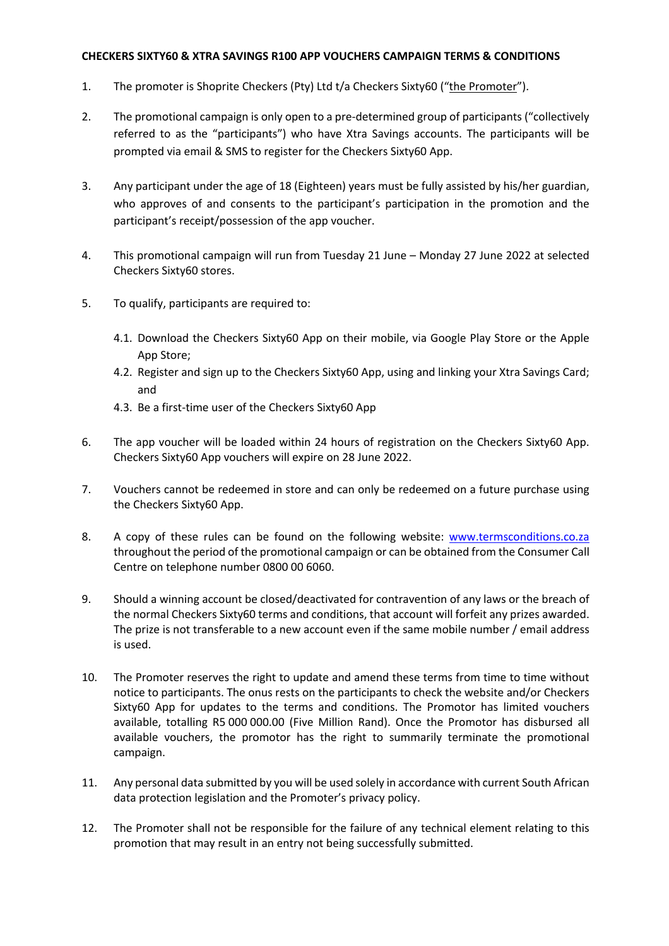## **CHECKERS SIXTY60 & XTRA SAVINGS R100 APP VOUCHERS CAMPAIGN TERMS & CONDITIONS**

- 1. The promoter is Shoprite Checkers (Pty) Ltd t/a Checkers Sixty60 ("the Promoter").
- 2. The promotional campaign is only open to a pre-determined group of participants ("collectively referred to as the "participants") who have Xtra Savings accounts. The participants will be prompted via email & SMS to register for the Checkers Sixty60 App.
- 3. Any participant under the age of 18 (Eighteen) years must be fully assisted by his/her guardian, who approves of and consents to the participant's participation in the promotion and the participant's receipt/possession of the app voucher.
- 4. This promotional campaign will run from Tuesday 21 June Monday 27 June 2022 at selected Checkers Sixty60 stores.
- 5. To qualify, participants are required to:
	- 4.1. Download the Checkers Sixty60 App on their mobile, via Google Play Store or the Apple App Store;
	- 4.2. Register and sign up to the Checkers Sixty60 App, using and linking your Xtra Savings Card; and
	- 4.3. Be a first-time user of the Checkers Sixty60 App
- 6. The app voucher will be loaded within 24 hours of registration on the Checkers Sixty60 App. Checkers Sixty60 App vouchers will expire on 28 June 2022.
- 7. Vouchers cannot be redeemed in store and can only be redeemed on a future purchase using the Checkers Sixty60 App.
- 8. A copy of these rules can be found on the following website: www.termsconditions.co.za throughout the period of the promotional campaign or can be obtained from the Consumer Call Centre on telephone number 0800 00 6060.
- 9. Should a winning account be closed/deactivated for contravention of any laws or the breach of the normal Checkers Sixty60 terms and conditions, that account will forfeit any prizes awarded. The prize is not transferable to a new account even if the same mobile number / email address is used.
- 10. The Promoter reserves the right to update and amend these terms from time to time without notice to participants. The onus rests on the participants to check the website and/or Checkers Sixty60 App for updates to the terms and conditions. The Promotor has limited vouchers available, totalling R5 000 000.00 (Five Million Rand). Once the Promotor has disbursed all available vouchers, the promotor has the right to summarily terminate the promotional campaign.
- 11. Any personal data submitted by you will be used solely in accordance with current South African data protection legislation and the Promoter's privacy policy.
- 12. The Promoter shall not be responsible for the failure of any technical element relating to this promotion that may result in an entry not being successfully submitted.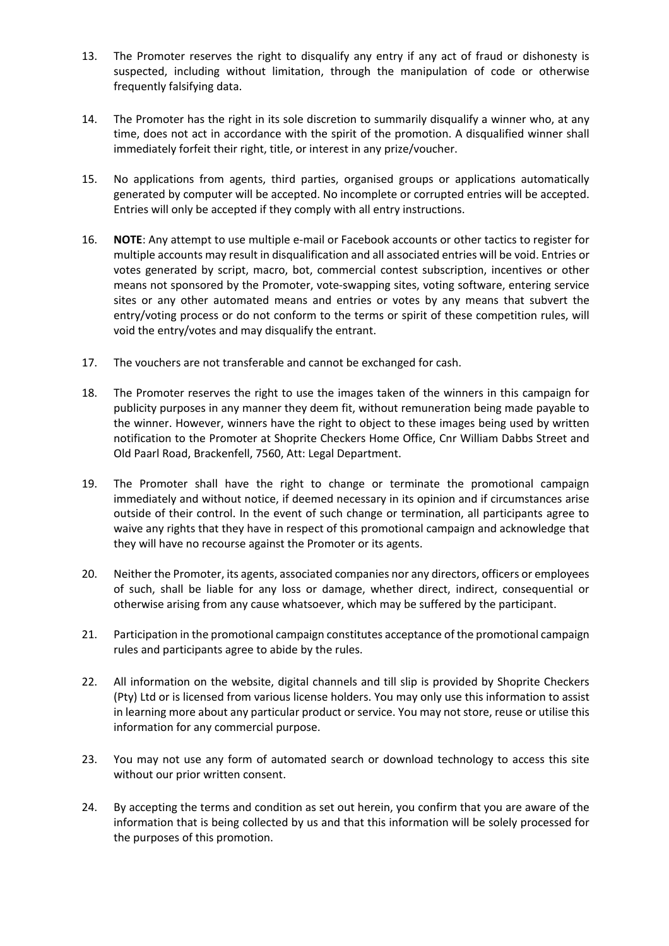- 13. The Promoter reserves the right to disqualify any entry if any act of fraud or dishonesty is suspected, including without limitation, through the manipulation of code or otherwise frequently falsifying data.
- 14. The Promoter has the right in its sole discretion to summarily disqualify a winner who, at any time, does not act in accordance with the spirit of the promotion. A disqualified winner shall immediately forfeit their right, title, or interest in any prize/voucher.
- 15. No applications from agents, third parties, organised groups or applications automatically generated by computer will be accepted. No incomplete or corrupted entries will be accepted. Entries will only be accepted if they comply with all entry instructions.
- 16. **NOTE**: Any attempt to use multiple e-mail or Facebook accounts or other tactics to register for multiple accounts may result in disqualification and all associated entries will be void. Entries or votes generated by script, macro, bot, commercial contest subscription, incentives or other means not sponsored by the Promoter, vote-swapping sites, voting software, entering service sites or any other automated means and entries or votes by any means that subvert the entry/voting process or do not conform to the terms or spirit of these competition rules, will void the entry/votes and may disqualify the entrant.
- 17. The vouchers are not transferable and cannot be exchanged for cash.
- 18. The Promoter reserves the right to use the images taken of the winners in this campaign for publicity purposes in any manner they deem fit, without remuneration being made payable to the winner. However, winners have the right to object to these images being used by written notification to the Promoter at Shoprite Checkers Home Office, Cnr William Dabbs Street and Old Paarl Road, Brackenfell, 7560, Att: Legal Department.
- 19. The Promoter shall have the right to change or terminate the promotional campaign immediately and without notice, if deemed necessary in its opinion and if circumstances arise outside of their control. In the event of such change or termination, all participants agree to waive any rights that they have in respect of this promotional campaign and acknowledge that they will have no recourse against the Promoter or its agents.
- 20. Neither the Promoter, its agents, associated companies nor any directors, officers or employees of such, shall be liable for any loss or damage, whether direct, indirect, consequential or otherwise arising from any cause whatsoever, which may be suffered by the participant.
- 21. Participation in the promotional campaign constitutes acceptance of the promotional campaign rules and participants agree to abide by the rules.
- 22. All information on the website, digital channels and till slip is provided by Shoprite Checkers (Pty) Ltd or is licensed from various license holders. You may only use this information to assist in learning more about any particular product or service. You may not store, reuse or utilise this information for any commercial purpose.
- 23. You may not use any form of automated search or download technology to access this site without our prior written consent.
- 24. By accepting the terms and condition as set out herein, you confirm that you are aware of the information that is being collected by us and that this information will be solely processed for the purposes of this promotion.